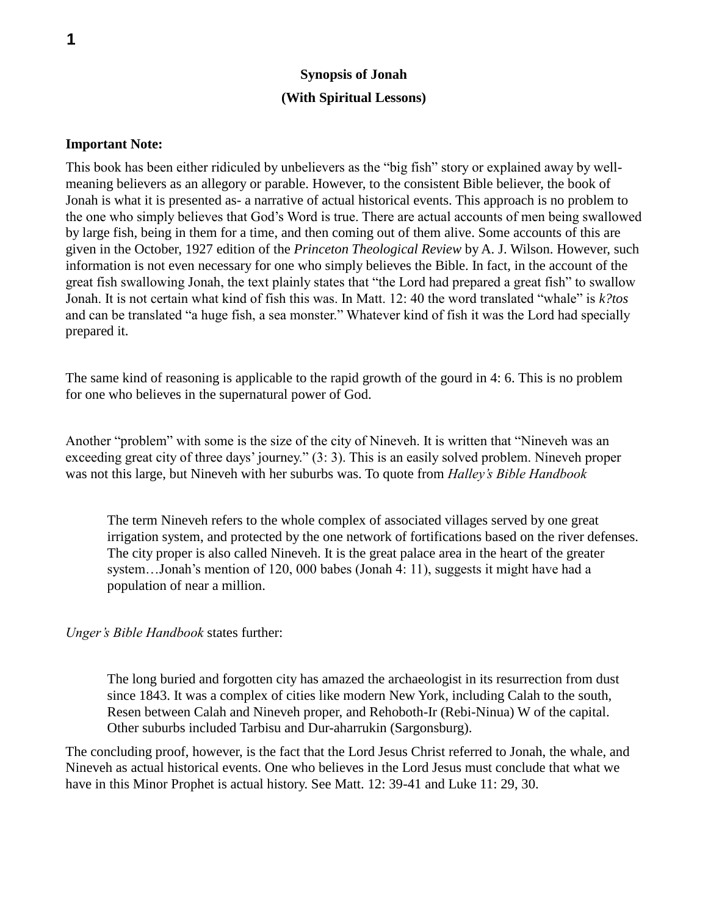### **Synopsis of Jonah (With Spiritual Lessons)**

#### **Important Note:**

This book has been either ridiculed by unbelievers as the "big fish" story or explained away by wellmeaning believers as an allegory or parable. However, to the consistent Bible believer, the book of Jonah is what it is presented as- a narrative of actual historical events. This approach is no problem to the one who simply believes that God's Word is true. There are actual accounts of men being swallowed by large fish, being in them for a time, and then coming out of them alive. Some accounts of this are given in the October, 1927 edition of the *Princeton Theological Review* by A. J. Wilson. However, such information is not even necessary for one who simply believes the Bible. In fact, in the account of the great fish swallowing Jonah, the text plainly states that "the Lord had prepared a great fish" to swallow Jonah. It is not certain what kind of fish this was. In Matt. 12: 40 the word translated "whale" is *k?tos* and can be translated "a huge fish, a sea monster." Whatever kind of fish it was the Lord had specially prepared it.

The same kind of reasoning is applicable to the rapid growth of the gourd in 4: 6. This is no problem for one who believes in the supernatural power of God.

Another "problem" with some is the size of the city of Nineveh. It is written that "Nineveh was an exceeding great city of three days' journey." (3: 3). This is an easily solved problem. Nineveh proper was not this large, but Nineveh with her suburbs was. To quote from *Halley's Bible Handbook*

The term Nineveh refers to the whole complex of associated villages served by one great irrigation system, and protected by the one network of fortifications based on the river defenses. The city proper is also called Nineveh. It is the great palace area in the heart of the greater system…Jonah's mention of 120, 000 babes (Jonah 4: 11), suggests it might have had a population of near a million.

*Unger's Bible Handbook* states further:

The long buried and forgotten city has amazed the archaeologist in its resurrection from dust since 1843. It was a complex of cities like modern New York, including Calah to the south, Resen between Calah and Nineveh proper, and Rehoboth-Ir (Rebi-Ninua) W of the capital. Other suburbs included Tarbisu and Dur-aharrukin (Sargonsburg).

The concluding proof, however, is the fact that the Lord Jesus Christ referred to Jonah, the whale, and Nineveh as actual historical events. One who believes in the Lord Jesus must conclude that what we have in this Minor Prophet is actual history. See Matt. 12: 39-41 and Luke 11: 29, 30.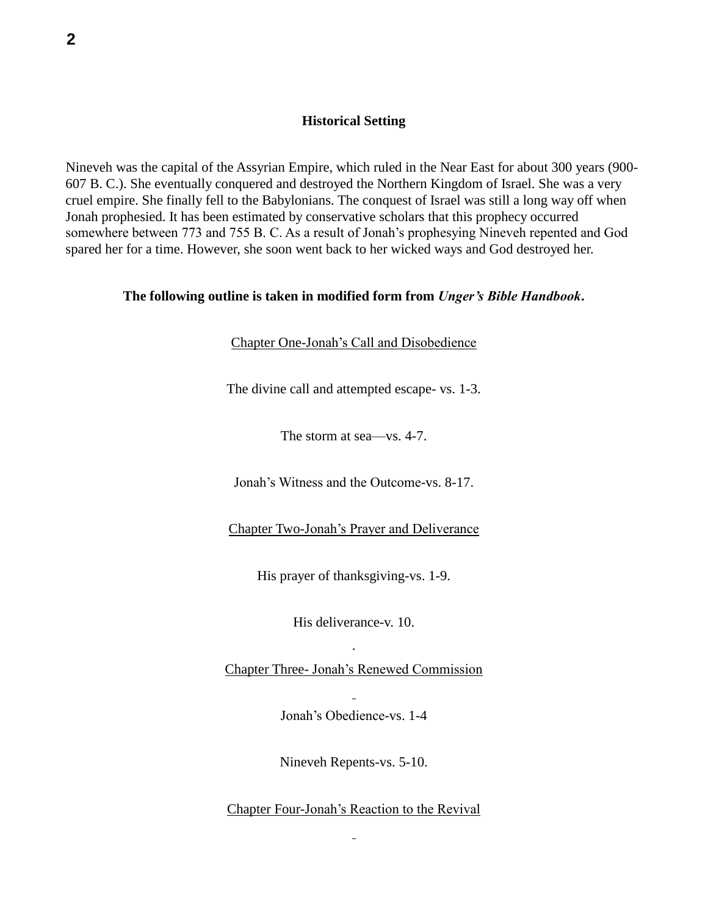#### **Historical Setting**

Nineveh was the capital of the Assyrian Empire, which ruled in the Near East for about 300 years (900- 607 B. C.). She eventually conquered and destroyed the Northern Kingdom of Israel. She was a very cruel empire. She finally fell to the Babylonians. The conquest of Israel was still a long way off when Jonah prophesied. It has been estimated by conservative scholars that this prophecy occurred somewhere between 773 and 755 B. C. As a result of Jonah's prophesying Nineveh repented and God spared her for a time. However, she soon went back to her wicked ways and God destroyed her.

#### **The following outline is taken in modified form from** *Unger's Bible Handbook***.**

Chapter One-Jonah's Call and Disobedience

The divine call and attempted escape- vs. 1-3.

The storm at sea—vs. 4-7.

Jonah's Witness and the Outcome-vs. 8-17.

Chapter Two-Jonah's Prayer and Deliverance

His prayer of thanksgiving-vs. 1-9.

His deliverance-v. 10. .

Chapter Three- Jonah's Renewed Commission

Jonah's Obedience-vs. 1-4

Nineveh Repents-vs. 5-10.

Chapter Four-Jonah's Reaction to the Revival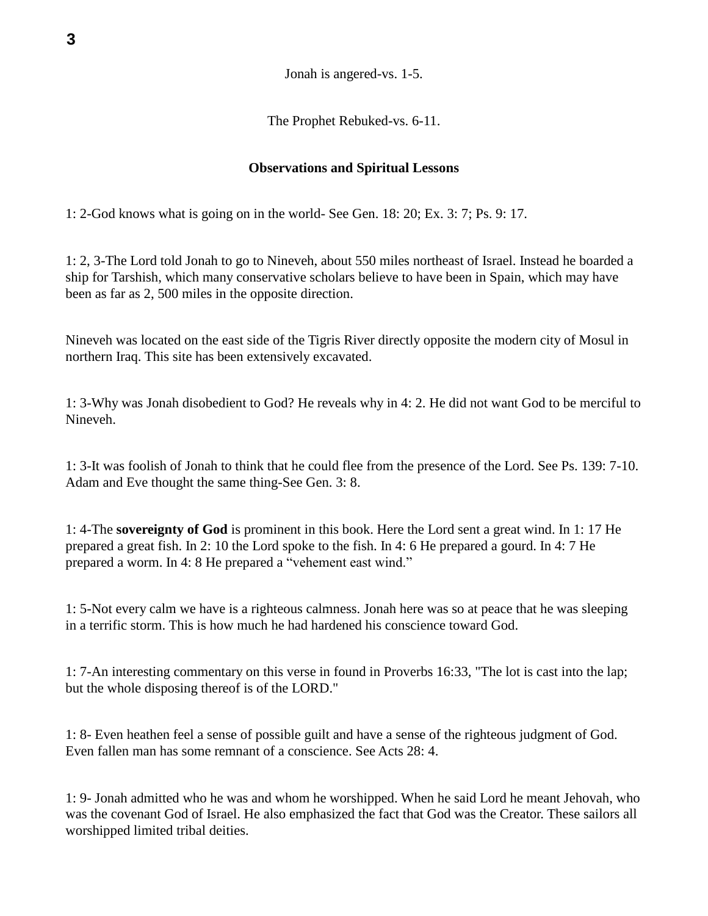Jonah is angered-vs. 1-5.

The Prophet Rebuked-vs. 6-11.

### **Observations and Spiritual Lessons**

1: 2-God knows what is going on in the world- See Gen. 18: 20; Ex. 3: 7; Ps. 9: 17.

1: 2, 3-The Lord told Jonah to go to Nineveh, about 550 miles northeast of Israel. Instead he boarded a ship for Tarshish, which many conservative scholars believe to have been in Spain, which may have been as far as 2, 500 miles in the opposite direction.

Nineveh was located on the east side of the Tigris River directly opposite the modern city of Mosul in northern Iraq. This site has been extensively excavated.

1: 3-Why was Jonah disobedient to God? He reveals why in 4: 2. He did not want God to be merciful to Nineveh.

1: 3-It was foolish of Jonah to think that he could flee from the presence of the Lord. See Ps. 139: 7-10. Adam and Eve thought the same thing-See Gen. 3: 8.

1: 4-The **sovereignty of God** is prominent in this book. Here the Lord sent a great wind. In 1: 17 He prepared a great fish. In 2: 10 the Lord spoke to the fish. In 4: 6 He prepared a gourd. In 4: 7 He prepared a worm. In 4: 8 He prepared a "vehement east wind."

1: 5-Not every calm we have is a righteous calmness. Jonah here was so at peace that he was sleeping in a terrific storm. This is how much he had hardened his conscience toward God.

1: 7-An interesting commentary on this verse in found in Proverbs 16:33, "The lot is cast into the lap; but the whole disposing thereof is of the LORD."

1: 8- Even heathen feel a sense of possible guilt and have a sense of the righteous judgment of God. Even fallen man has some remnant of a conscience. See Acts 28: 4.

1: 9- Jonah admitted who he was and whom he worshipped. When he said Lord he meant Jehovah, who was the covenant God of Israel. He also emphasized the fact that God was the Creator. These sailors all worshipped limited tribal deities.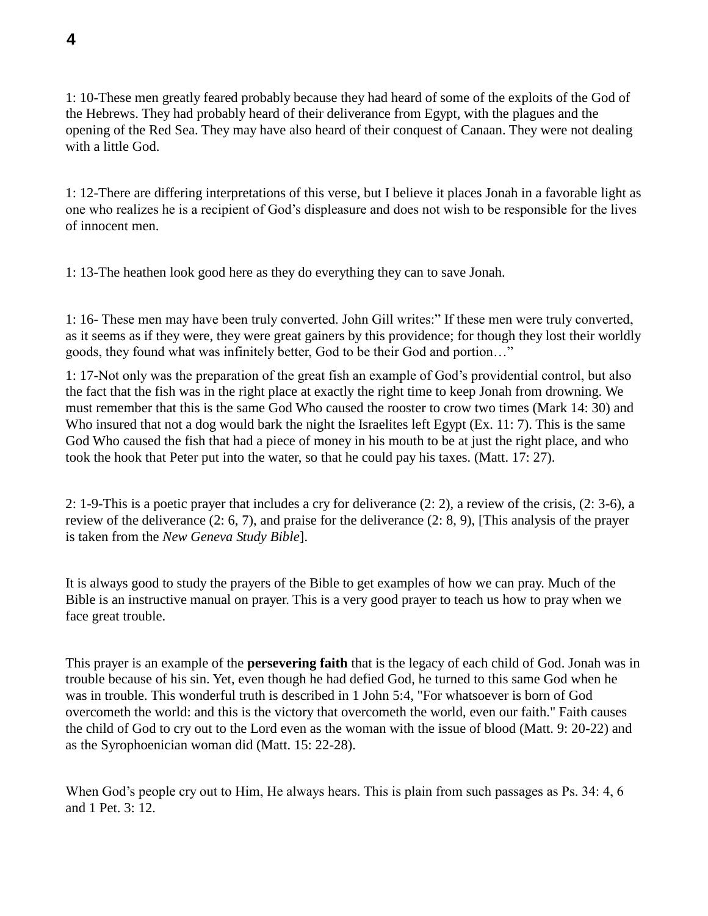1: 10-These men greatly feared probably because they had heard of some of the exploits of the God of the Hebrews. They had probably heard of their deliverance from Egypt, with the plagues and the opening of the Red Sea. They may have also heard of their conquest of Canaan. They were not dealing with a little God.

1: 12-There are differing interpretations of this verse, but I believe it places Jonah in a favorable light as one who realizes he is a recipient of God's displeasure and does not wish to be responsible for the lives of innocent men.

1: 13-The heathen look good here as they do everything they can to save Jonah.

1: 16- These men may have been truly converted. John Gill writes:" If these men were truly converted, as it seems as if they were, they were great gainers by this providence; for though they lost their worldly goods, they found what was infinitely better, God to be their God and portion…"

1: 17-Not only was the preparation of the great fish an example of God's providential control, but also the fact that the fish was in the right place at exactly the right time to keep Jonah from drowning. We must remember that this is the same God Who caused the rooster to crow two times (Mark 14: 30) and Who insured that not a dog would bark the night the Israelites left Egypt (Ex. 11: 7). This is the same God Who caused the fish that had a piece of money in his mouth to be at just the right place, and who took the hook that Peter put into the water, so that he could pay his taxes. (Matt. 17: 27).

2: 1-9-This is a poetic prayer that includes a cry for deliverance (2: 2), a review of the crisis, (2: 3-6), a review of the deliverance (2: 6, 7), and praise for the deliverance (2: 8, 9), [This analysis of the prayer is taken from the *New Geneva Study Bible*].

It is always good to study the prayers of the Bible to get examples of how we can pray. Much of the Bible is an instructive manual on prayer. This is a very good prayer to teach us how to pray when we face great trouble.

This prayer is an example of the **persevering faith** that is the legacy of each child of God. Jonah was in trouble because of his sin. Yet, even though he had defied God, he turned to this same God when he was in trouble. This wonderful truth is described in 1 John 5:4, "For whatsoever is born of God overcometh the world: and this is the victory that overcometh the world, even our faith." Faith causes the child of God to cry out to the Lord even as the woman with the issue of blood (Matt. 9: 20-22) and as the Syrophoenician woman did (Matt. 15: 22-28).

When God's people cry out to Him, He always hears. This is plain from such passages as Ps. 34: 4, 6 and 1 Pet. 3: 12.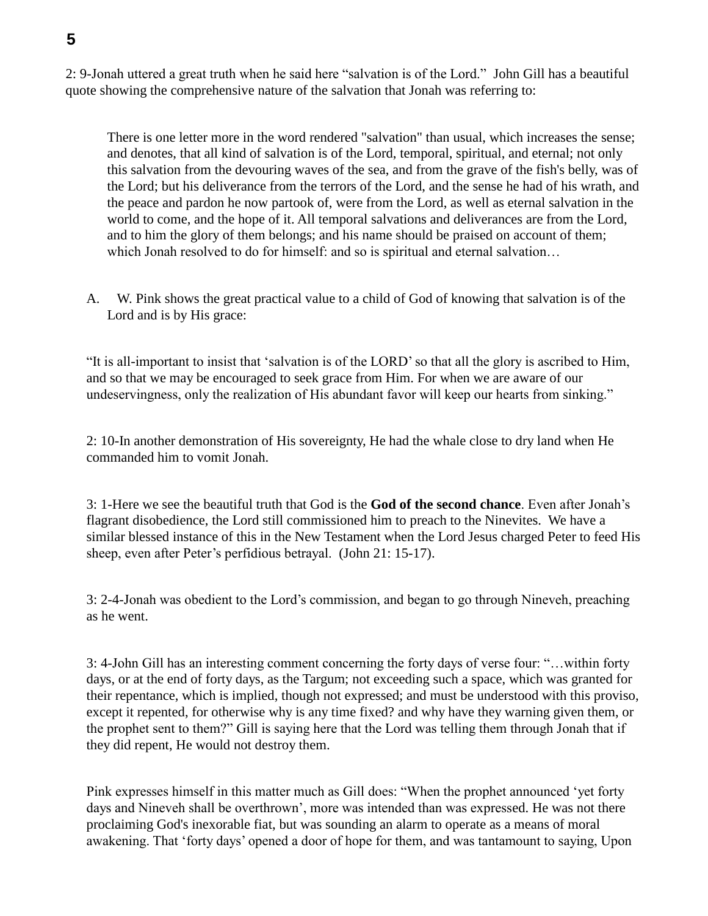2: 9-Jonah uttered a great truth when he said here "salvation is of the Lord." John Gill has a beautiful quote showing the comprehensive nature of the salvation that Jonah was referring to:

There is one letter more in the word rendered "salvation" than usual, which increases the sense; and denotes, that all kind of salvation is of the Lord, temporal, spiritual, and eternal; not only this salvation from the devouring waves of the sea, and from the grave of the fish's belly, was of the Lord; but his deliverance from the terrors of the Lord, and the sense he had of his wrath, and the peace and pardon he now partook of, were from the Lord, as well as eternal salvation in the world to come, and the hope of it. All temporal salvations and deliverances are from the Lord, and to him the glory of them belongs; and his name should be praised on account of them; which Jonah resolved to do for himself: and so is spiritual and eternal salvation…

A. W. Pink shows the great practical value to a child of God of knowing that salvation is of the Lord and is by His grace:

"It is all-important to insist that 'salvation is of the LORD' so that all the glory is ascribed to Him, and so that we may be encouraged to seek grace from Him. For when we are aware of our undeservingness, only the realization of His abundant favor will keep our hearts from sinking."

2: 10-In another demonstration of His sovereignty, He had the whale close to dry land when He commanded him to vomit Jonah.

3: 1-Here we see the beautiful truth that God is the **God of the second chance**. Even after Jonah's flagrant disobedience, the Lord still commissioned him to preach to the Ninevites. We have a similar blessed instance of this in the New Testament when the Lord Jesus charged Peter to feed His sheep, even after Peter's perfidious betrayal. (John 21: 15-17).

3: 2-4-Jonah was obedient to the Lord's commission, and began to go through Nineveh, preaching as he went.

3: 4-John Gill has an interesting comment concerning the forty days of verse four: "…within forty days, or at the end of forty days, as the Targum; not exceeding such a space, which was granted for their repentance, which is implied, though not expressed; and must be understood with this proviso, except it repented, for otherwise why is any time fixed? and why have they warning given them, or the prophet sent to them?" Gill is saying here that the Lord was telling them through Jonah that if they did repent, He would not destroy them.

Pink expresses himself in this matter much as Gill does: "When the prophet announced 'yet forty days and Nineveh shall be overthrown', more was intended than was expressed. He was not there proclaiming God's inexorable fiat, but was sounding an alarm to operate as a means of moral awakening. That 'forty days' opened a door of hope for them, and was tantamount to saying, Upon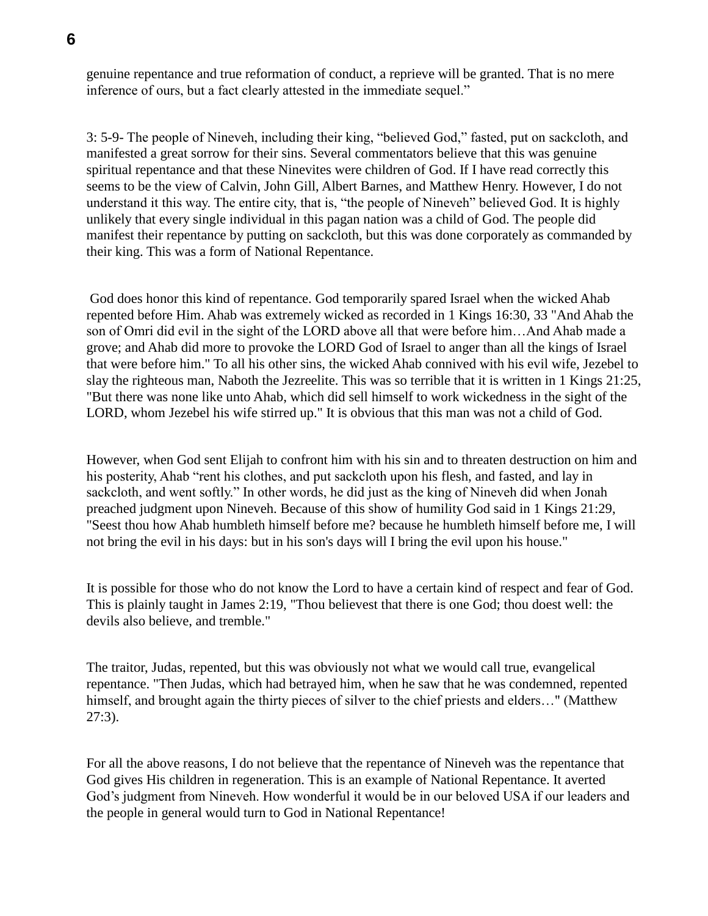genuine repentance and true reformation of conduct, a reprieve will be granted. That is no mere inference of ours, but a fact clearly attested in the immediate sequel."

3: 5-9- The people of Nineveh, including their king, "believed God," fasted, put on sackcloth, and manifested a great sorrow for their sins. Several commentators believe that this was genuine spiritual repentance and that these Ninevites were children of God. If I have read correctly this seems to be the view of Calvin, John Gill, Albert Barnes, and Matthew Henry. However, I do not understand it this way. The entire city, that is, "the people of Nineveh" believed God. It is highly unlikely that every single individual in this pagan nation was a child of God. The people did manifest their repentance by putting on sackcloth, but this was done corporately as commanded by their king. This was a form of National Repentance.

God does honor this kind of repentance. God temporarily spared Israel when the wicked Ahab repented before Him. Ahab was extremely wicked as recorded in 1 Kings 16:30, 33 "And Ahab the son of Omri did evil in the sight of the LORD above all that were before him…And Ahab made a grove; and Ahab did more to provoke the LORD God of Israel to anger than all the kings of Israel that were before him." To all his other sins, the wicked Ahab connived with his evil wife, Jezebel to slay the righteous man, Naboth the Jezreelite. This was so terrible that it is written in 1 Kings 21:25, "But there was none like unto Ahab, which did sell himself to work wickedness in the sight of the LORD, whom Jezebel his wife stirred up." It is obvious that this man was not a child of God.

However, when God sent Elijah to confront him with his sin and to threaten destruction on him and his posterity, Ahab "rent his clothes, and put sackcloth upon his flesh, and fasted, and lay in sackcloth, and went softly." In other words, he did just as the king of Nineveh did when Jonah preached judgment upon Nineveh. Because of this show of humility God said in 1 Kings 21:29, "Seest thou how Ahab humbleth himself before me? because he humbleth himself before me, I will not bring the evil in his days: but in his son's days will I bring the evil upon his house."

It is possible for those who do not know the Lord to have a certain kind of respect and fear of God. This is plainly taught in James 2:19, "Thou believest that there is one God; thou doest well: the devils also believe, and tremble."

The traitor, Judas, repented, but this was obviously not what we would call true, evangelical repentance. "Then Judas, which had betrayed him, when he saw that he was condemned, repented himself, and brought again the thirty pieces of silver to the chief priests and elders..." (Matthew 27:3).

For all the above reasons, I do not believe that the repentance of Nineveh was the repentance that God gives His children in regeneration. This is an example of National Repentance. It averted God's judgment from Nineveh. How wonderful it would be in our beloved USA if our leaders and the people in general would turn to God in National Repentance!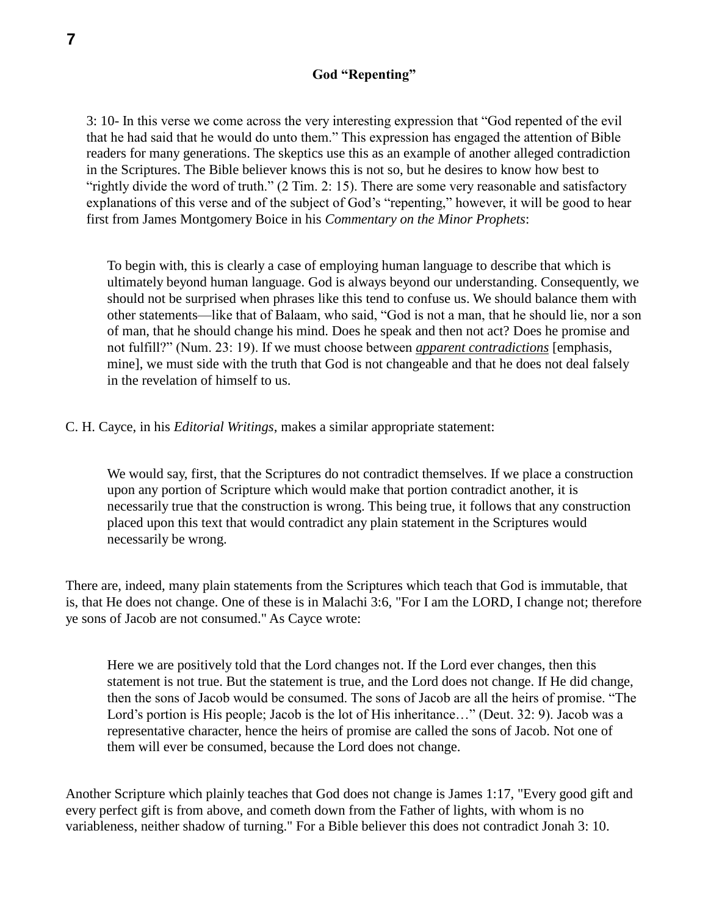#### **God "Repenting"**

3: 10- In this verse we come across the very interesting expression that "God repented of the evil that he had said that he would do unto them." This expression has engaged the attention of Bible readers for many generations. The skeptics use this as an example of another alleged contradiction in the Scriptures. The Bible believer knows this is not so, but he desires to know how best to "rightly divide the word of truth." (2 Tim. 2: 15). There are some very reasonable and satisfactory explanations of this verse and of the subject of God's "repenting," however, it will be good to hear first from James Montgomery Boice in his *Commentary on the Minor Prophets*:

To begin with, this is clearly a case of employing human language to describe that which is ultimately beyond human language. God is always beyond our understanding. Consequently, we should not be surprised when phrases like this tend to confuse us. We should balance them with other statements—like that of Balaam, who said, "God is not a man, that he should lie, nor a son of man, that he should change his mind. Does he speak and then not act? Does he promise and not fulfill?" (Num. 23: 19). If we must choose between *apparent contradictions* [emphasis, mine], we must side with the truth that God is not changeable and that he does not deal falsely in the revelation of himself to us.

C. H. Cayce, in his *Editorial Writings*, makes a similar appropriate statement:

We would say, first, that the Scriptures do not contradict themselves. If we place a construction upon any portion of Scripture which would make that portion contradict another, it is necessarily true that the construction is wrong. This being true, it follows that any construction placed upon this text that would contradict any plain statement in the Scriptures would necessarily be wrong.

There are, indeed, many plain statements from the Scriptures which teach that God is immutable, that is, that He does not change. One of these is in Malachi 3:6, "For I am the LORD, I change not; therefore ye sons of Jacob are not consumed." As Cayce wrote:

Here we are positively told that the Lord changes not. If the Lord ever changes, then this statement is not true. But the statement is true, and the Lord does not change. If He did change, then the sons of Jacob would be consumed. The sons of Jacob are all the heirs of promise. "The Lord's portion is His people; Jacob is the lot of His inheritance…" (Deut. 32: 9). Jacob was a representative character, hence the heirs of promise are called the sons of Jacob. Not one of them will ever be consumed, because the Lord does not change.

Another Scripture which plainly teaches that God does not change is James 1:17, "Every good gift and every perfect gift is from above, and cometh down from the Father of lights, with whom is no variableness, neither shadow of turning." For a Bible believer this does not contradict Jonah 3: 10.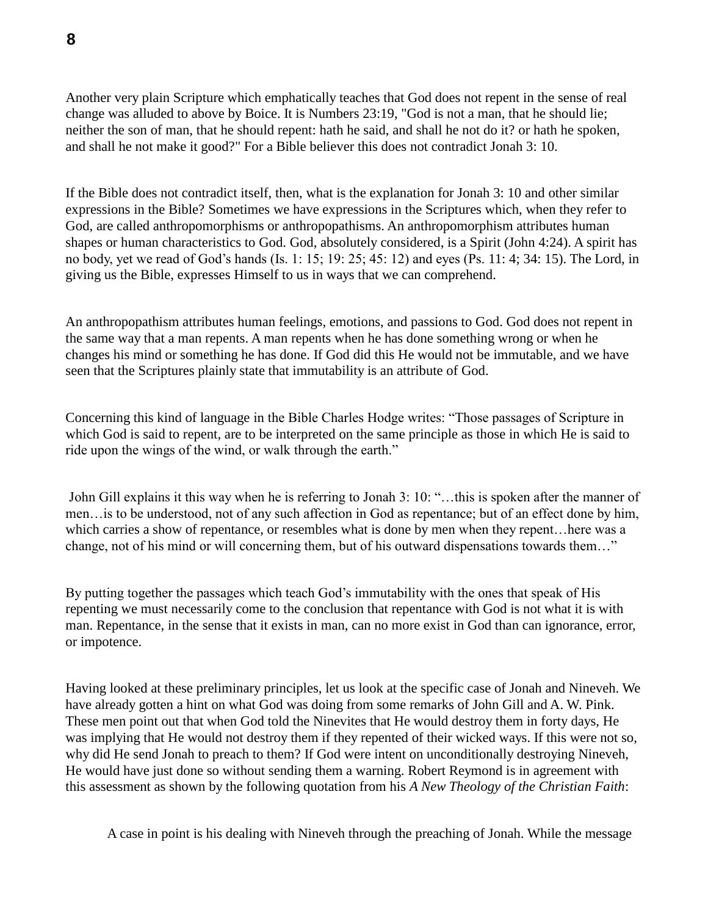Another very plain Scripture which emphatically teaches that God does not repent in the sense of real change was alluded to above by Boice. It is Numbers 23:19, "God is not a man, that he should lie; neither the son of man, that he should repent: hath he said, and shall he not do it? or hath he spoken, and shall he not make it good?" For a Bible believer this does not contradict Jonah 3: 10.

If the Bible does not contradict itself, then, what is the explanation for Jonah 3: 10 and other similar expressions in the Bible? Sometimes we have expressions in the Scriptures which, when they refer to God, are called anthropomorphisms or anthropopathisms. An anthropomorphism attributes human shapes or human characteristics to God. God, absolutely considered, is a Spirit (John 4:24). A spirit has no body, yet we read of God's hands (Is. 1: 15; 19: 25; 45: 12) and eyes (Ps. 11: 4; 34: 15). The Lord, in giving us the Bible, expresses Himself to us in ways that we can comprehend.

An anthropopathism attributes human feelings, emotions, and passions to God. God does not repent in the same way that a man repents. A man repents when he has done something wrong or when he changes his mind or something he has done. If God did this He would not be immutable, and we have seen that the Scriptures plainly state that immutability is an attribute of God.

Concerning this kind of language in the Bible Charles Hodge writes: "Those passages of Scripture in which God is said to repent, are to be interpreted on the same principle as those in which He is said to ride upon the wings of the wind, or walk through the earth."

John Gill explains it this way when he is referring to Jonah 3: 10: "…this is spoken after the manner of men…is to be understood, not of any such affection in God as repentance; but of an effect done by him, which carries a show of repentance, or resembles what is done by men when they repent…here was a change, not of his mind or will concerning them, but of his outward dispensations towards them…"

By putting together the passages which teach God's immutability with the ones that speak of His repenting we must necessarily come to the conclusion that repentance with God is not what it is with man. Repentance, in the sense that it exists in man, can no more exist in God than can ignorance, error, or impotence.

Having looked at these preliminary principles, let us look at the specific case of Jonah and Nineveh. We have already gotten a hint on what God was doing from some remarks of John Gill and A. W. Pink. These men point out that when God told the Ninevites that He would destroy them in forty days, He was implying that He would not destroy them if they repented of their wicked ways. If this were not so, why did He send Jonah to preach to them? If God were intent on unconditionally destroying Nineveh, He would have just done so without sending them a warning. Robert Reymond is in agreement with this assessment as shown by the following quotation from his *A New Theology of the Christian Faith*:

A case in point is his dealing with Nineveh through the preaching of Jonah. While the message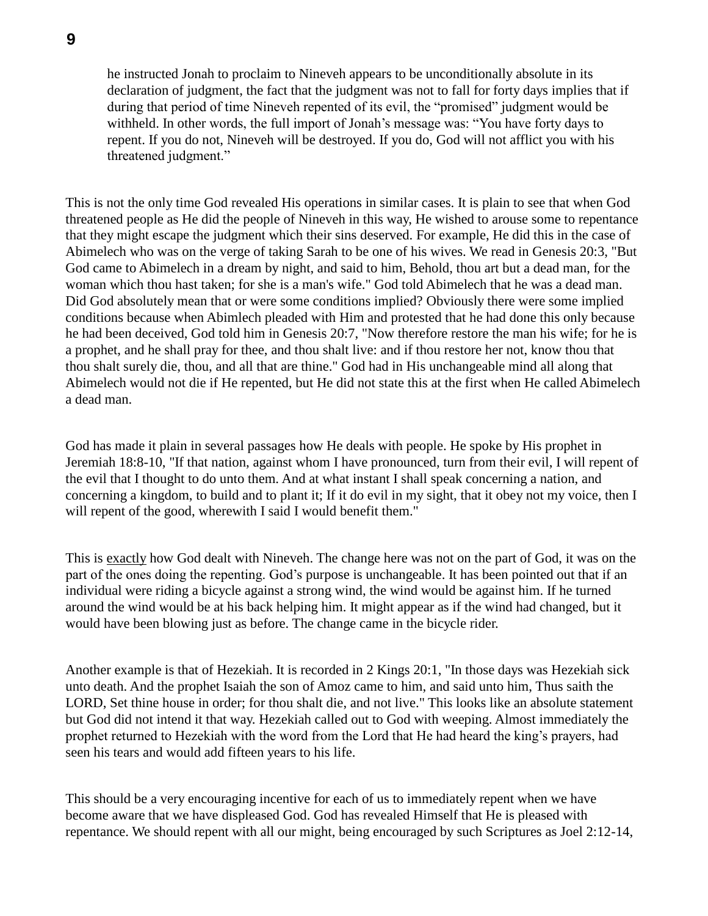he instructed Jonah to proclaim to Nineveh appears to be unconditionally absolute in its declaration of judgment, the fact that the judgment was not to fall for forty days implies that if during that period of time Nineveh repented of its evil, the "promised" judgment would be withheld. In other words, the full import of Jonah's message was: "You have forty days to repent. If you do not, Nineveh will be destroyed. If you do, God will not afflict you with his threatened judgment."

This is not the only time God revealed His operations in similar cases. It is plain to see that when God threatened people as He did the people of Nineveh in this way, He wished to arouse some to repentance that they might escape the judgment which their sins deserved. For example, He did this in the case of Abimelech who was on the verge of taking Sarah to be one of his wives. We read in Genesis 20:3, "But God came to Abimelech in a dream by night, and said to him, Behold, thou art but a dead man, for the woman which thou hast taken; for she is a man's wife." God told Abimelech that he was a dead man. Did God absolutely mean that or were some conditions implied? Obviously there were some implied conditions because when Abimlech pleaded with Him and protested that he had done this only because he had been deceived, God told him in Genesis 20:7, "Now therefore restore the man his wife; for he is a prophet, and he shall pray for thee, and thou shalt live: and if thou restore her not, know thou that thou shalt surely die, thou, and all that are thine." God had in His unchangeable mind all along that Abimelech would not die if He repented, but He did not state this at the first when He called Abimelech a dead man.

God has made it plain in several passages how He deals with people. He spoke by His prophet in Jeremiah 18:8-10, "If that nation, against whom I have pronounced, turn from their evil, I will repent of the evil that I thought to do unto them. And at what instant I shall speak concerning a nation, and concerning a kingdom, to build and to plant it; If it do evil in my sight, that it obey not my voice, then I will repent of the good, wherewith I said I would benefit them."

This is exactly how God dealt with Nineveh. The change here was not on the part of God, it was on the part of the ones doing the repenting. God's purpose is unchangeable. It has been pointed out that if an individual were riding a bicycle against a strong wind, the wind would be against him. If he turned around the wind would be at his back helping him. It might appear as if the wind had changed, but it would have been blowing just as before. The change came in the bicycle rider.

Another example is that of Hezekiah. It is recorded in 2 Kings 20:1, "In those days was Hezekiah sick unto death. And the prophet Isaiah the son of Amoz came to him, and said unto him, Thus saith the LORD, Set thine house in order; for thou shalt die, and not live." This looks like an absolute statement but God did not intend it that way. Hezekiah called out to God with weeping. Almost immediately the prophet returned to Hezekiah with the word from the Lord that He had heard the king's prayers, had seen his tears and would add fifteen years to his life.

This should be a very encouraging incentive for each of us to immediately repent when we have become aware that we have displeased God. God has revealed Himself that He is pleased with repentance. We should repent with all our might, being encouraged by such Scriptures as Joel 2:12-14,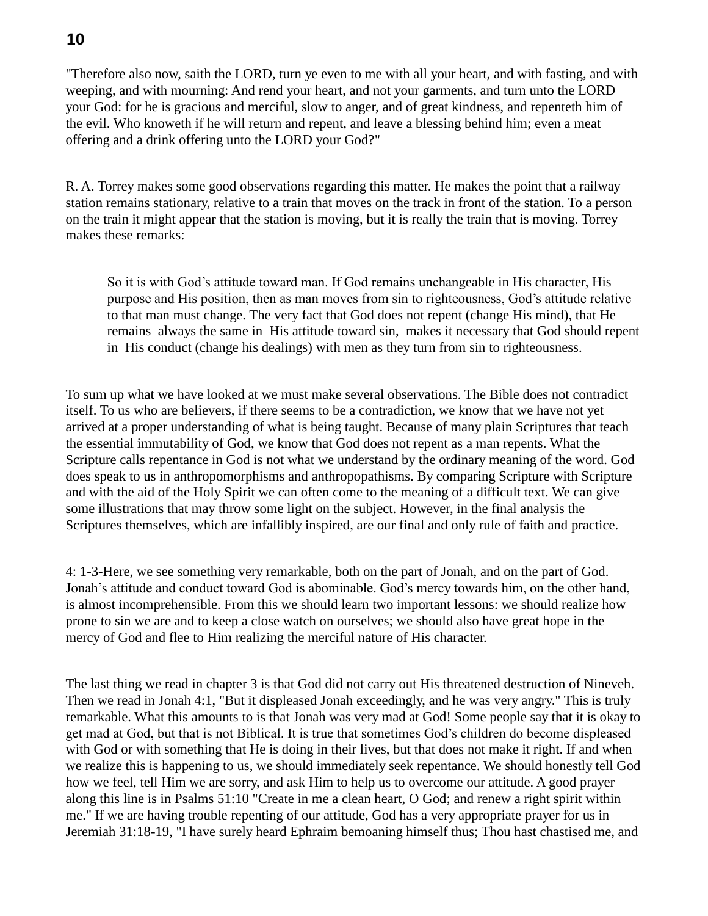# **10**

"Therefore also now, saith the LORD, turn ye even to me with all your heart, and with fasting, and with weeping, and with mourning: And rend your heart, and not your garments, and turn unto the LORD your God: for he is gracious and merciful, slow to anger, and of great kindness, and repenteth him of the evil. Who knoweth if he will return and repent, and leave a blessing behind him; even a meat offering and a drink offering unto the LORD your God?"

R. A. Torrey makes some good observations regarding this matter. He makes the point that a railway station remains stationary, relative to a train that moves on the track in front of the station. To a person on the train it might appear that the station is moving, but it is really the train that is moving. Torrey makes these remarks:

So it is with God's attitude toward man. If God remains unchangeable in His character, His purpose and His position, then as man moves from sin to righteousness, God's attitude relative to that man must change. The very fact that God does not repent (change His mind), that He remains always the same in His attitude toward sin, makes it necessary that God should repent in His conduct (change his dealings) with men as they turn from sin to righteousness.

To sum up what we have looked at we must make several observations. The Bible does not contradict itself. To us who are believers, if there seems to be a contradiction, we know that we have not yet arrived at a proper understanding of what is being taught. Because of many plain Scriptures that teach the essential immutability of God, we know that God does not repent as a man repents. What the Scripture calls repentance in God is not what we understand by the ordinary meaning of the word. God does speak to us in anthropomorphisms and anthropopathisms. By comparing Scripture with Scripture and with the aid of the Holy Spirit we can often come to the meaning of a difficult text. We can give some illustrations that may throw some light on the subject. However, in the final analysis the Scriptures themselves, which are infallibly inspired, are our final and only rule of faith and practice.

4: 1-3-Here, we see something very remarkable, both on the part of Jonah, and on the part of God. Jonah's attitude and conduct toward God is abominable. God's mercy towards him, on the other hand, is almost incomprehensible. From this we should learn two important lessons: we should realize how prone to sin we are and to keep a close watch on ourselves; we should also have great hope in the mercy of God and flee to Him realizing the merciful nature of His character.

The last thing we read in chapter 3 is that God did not carry out His threatened destruction of Nineveh. Then we read in Jonah 4:1, "But it displeased Jonah exceedingly, and he was very angry." This is truly remarkable. What this amounts to is that Jonah was very mad at God! Some people say that it is okay to get mad at God, but that is not Biblical. It is true that sometimes God's children do become displeased with God or with something that He is doing in their lives, but that does not make it right. If and when we realize this is happening to us, we should immediately seek repentance. We should honestly tell God how we feel, tell Him we are sorry, and ask Him to help us to overcome our attitude. A good prayer along this line is in Psalms 51:10 "Create in me a clean heart, O God; and renew a right spirit within me." If we are having trouble repenting of our attitude, God has a very appropriate prayer for us in Jeremiah 31:18-19, "I have surely heard Ephraim bemoaning himself thus; Thou hast chastised me, and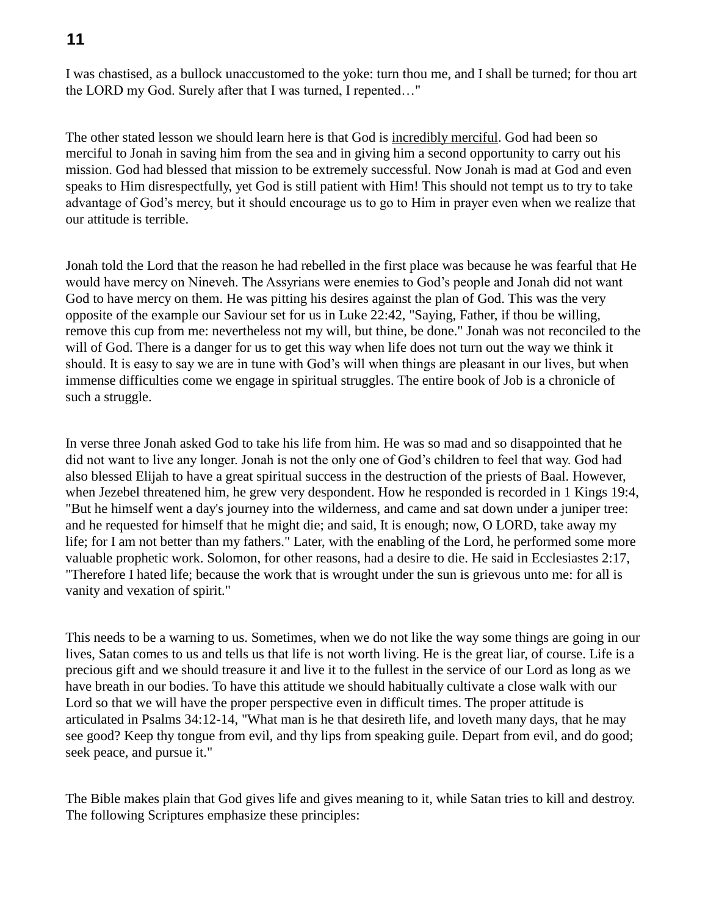## **11**

I was chastised, as a bullock unaccustomed to the yoke: turn thou me, and I shall be turned; for thou art the LORD my God. Surely after that I was turned, I repented…"

The other stated lesson we should learn here is that God is incredibly merciful. God had been so merciful to Jonah in saving him from the sea and in giving him a second opportunity to carry out his mission. God had blessed that mission to be extremely successful. Now Jonah is mad at God and even speaks to Him disrespectfully, yet God is still patient with Him! This should not tempt us to try to take advantage of God's mercy, but it should encourage us to go to Him in prayer even when we realize that our attitude is terrible.

Jonah told the Lord that the reason he had rebelled in the first place was because he was fearful that He would have mercy on Nineveh. The Assyrians were enemies to God's people and Jonah did not want God to have mercy on them. He was pitting his desires against the plan of God. This was the very opposite of the example our Saviour set for us in Luke 22:42, "Saying, Father, if thou be willing, remove this cup from me: nevertheless not my will, but thine, be done." Jonah was not reconciled to the will of God. There is a danger for us to get this way when life does not turn out the way we think it should. It is easy to say we are in tune with God's will when things are pleasant in our lives, but when immense difficulties come we engage in spiritual struggles. The entire book of Job is a chronicle of such a struggle.

In verse three Jonah asked God to take his life from him. He was so mad and so disappointed that he did not want to live any longer. Jonah is not the only one of God's children to feel that way. God had also blessed Elijah to have a great spiritual success in the destruction of the priests of Baal. However, when Jezebel threatened him, he grew very despondent. How he responded is recorded in 1 Kings 19:4, "But he himself went a day's journey into the wilderness, and came and sat down under a juniper tree: and he requested for himself that he might die; and said, It is enough; now, O LORD, take away my life; for I am not better than my fathers." Later, with the enabling of the Lord, he performed some more valuable prophetic work. Solomon, for other reasons, had a desire to die. He said in Ecclesiastes 2:17, "Therefore I hated life; because the work that is wrought under the sun is grievous unto me: for all is vanity and vexation of spirit."

This needs to be a warning to us. Sometimes, when we do not like the way some things are going in our lives, Satan comes to us and tells us that life is not worth living. He is the great liar, of course. Life is a precious gift and we should treasure it and live it to the fullest in the service of our Lord as long as we have breath in our bodies. To have this attitude we should habitually cultivate a close walk with our Lord so that we will have the proper perspective even in difficult times. The proper attitude is articulated in Psalms 34:12-14, "What man is he that desireth life, and loveth many days, that he may see good? Keep thy tongue from evil, and thy lips from speaking guile. Depart from evil, and do good; seek peace, and pursue it."

The Bible makes plain that God gives life and gives meaning to it, while Satan tries to kill and destroy. The following Scriptures emphasize these principles: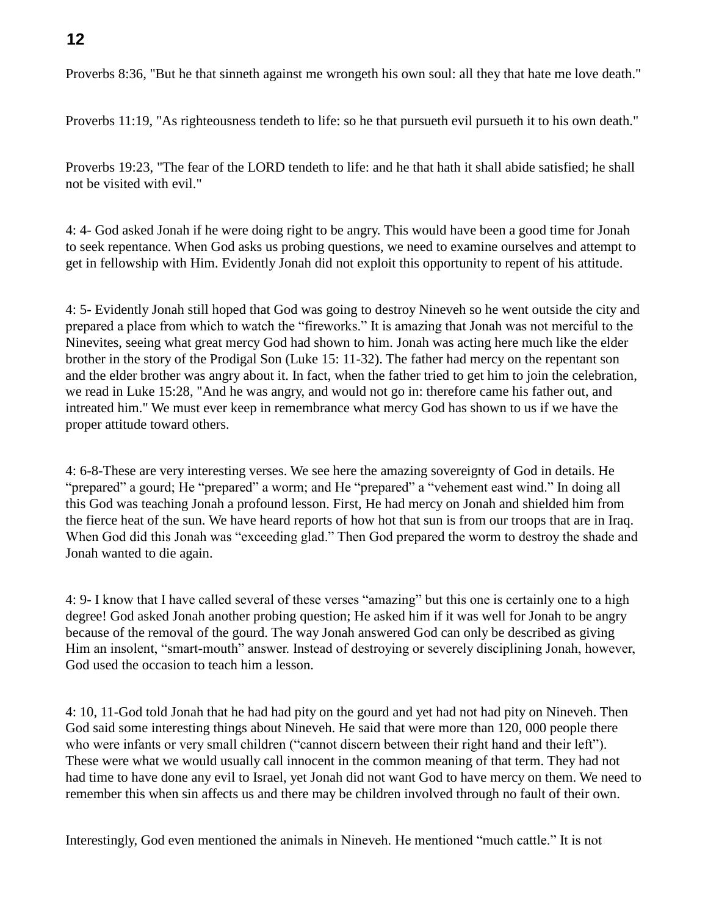## **12**

Proverbs 8:36, "But he that sinneth against me wrongeth his own soul: all they that hate me love death."

Proverbs 11:19, "As righteousness tendeth to life: so he that pursueth evil pursueth it to his own death."

Proverbs 19:23, "The fear of the LORD tendeth to life: and he that hath it shall abide satisfied; he shall not be visited with evil."

4: 4- God asked Jonah if he were doing right to be angry. This would have been a good time for Jonah to seek repentance. When God asks us probing questions, we need to examine ourselves and attempt to get in fellowship with Him. Evidently Jonah did not exploit this opportunity to repent of his attitude.

4: 5- Evidently Jonah still hoped that God was going to destroy Nineveh so he went outside the city and prepared a place from which to watch the "fireworks." It is amazing that Jonah was not merciful to the Ninevites, seeing what great mercy God had shown to him. Jonah was acting here much like the elder brother in the story of the Prodigal Son (Luke 15: 11-32). The father had mercy on the repentant son and the elder brother was angry about it. In fact, when the father tried to get him to join the celebration, we read in Luke 15:28, "And he was angry, and would not go in: therefore came his father out, and intreated him." We must ever keep in remembrance what mercy God has shown to us if we have the proper attitude toward others.

4: 6-8-These are very interesting verses. We see here the amazing sovereignty of God in details. He "prepared" a gourd; He "prepared" a worm; and He "prepared" a "vehement east wind." In doing all this God was teaching Jonah a profound lesson. First, He had mercy on Jonah and shielded him from the fierce heat of the sun. We have heard reports of how hot that sun is from our troops that are in Iraq. When God did this Jonah was "exceeding glad." Then God prepared the worm to destroy the shade and Jonah wanted to die again.

4: 9- I know that I have called several of these verses "amazing" but this one is certainly one to a high degree! God asked Jonah another probing question; He asked him if it was well for Jonah to be angry because of the removal of the gourd. The way Jonah answered God can only be described as giving Him an insolent, "smart-mouth" answer. Instead of destroying or severely disciplining Jonah, however, God used the occasion to teach him a lesson.

4: 10, 11-God told Jonah that he had had pity on the gourd and yet had not had pity on Nineveh. Then God said some interesting things about Nineveh. He said that were more than 120, 000 people there who were infants or very small children ("cannot discern between their right hand and their left"). These were what we would usually call innocent in the common meaning of that term. They had not had time to have done any evil to Israel, yet Jonah did not want God to have mercy on them. We need to remember this when sin affects us and there may be children involved through no fault of their own.

Interestingly, God even mentioned the animals in Nineveh. He mentioned "much cattle." It is not